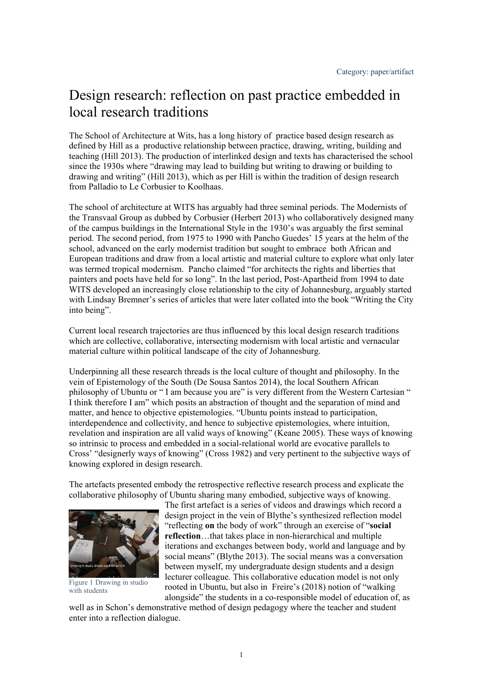## Design research: reflection on past practice embedded in local research traditions

The School of Architecture at Wits, has a long history of practice based design research as defined by Hill as a productive relationship between practice, drawing, writing, building and teaching (Hill 2013). The production of interlinked design and texts has characterised the school since the 1930s where "drawing may lead to building but writing to drawing or building to drawing and writing" (Hill 2013), which as per Hill is within the tradition of design research from Palladio to Le Corbusier to Koolhaas.

The school of architecture at WITS has arguably had three seminal periods. The Modernists of the Transvaal Group as dubbed by Corbusier (Herbert 2013) who collaboratively designed many of the campus buildings in the International Style in the 1930's was arguably the first seminal period. The second period, from 1975 to 1990 with Pancho Guedes' 15 years at the helm of the school, advanced on the early modernist tradition but sought to embrace both African and European traditions and draw from a local artistic and material culture to explore what only later was termed tropical modernism. Pancho claimed "for architects the rights and liberties that painters and poets have held for so long". In the last period, Post-Apartheid from 1994 to date WITS developed an increasingly close relationship to the city of Johannesburg, arguably started with Lindsay Bremner's series of articles that were later collated into the book "Writing the City into being".

Current local research trajectories are thus influenced by this local design research traditions which are collective, collaborative, intersecting modernism with local artistic and vernacular material culture within political landscape of the city of Johannesburg.

Underpinning all these research threads is the local culture of thought and philosophy. In the vein of Epistemology of the South (De Sousa Santos 2014), the local Southern African philosophy of Ubuntu or " I am because you are" is very different from the Western Cartesian " I think therefore I am" which posits an abstraction of thought and the separation of mind and matter, and hence to objective epistemologies. "Ubuntu points instead to participation, interdependence and collectivity, and hence to subjective epistemologies, where intuition, revelation and inspiration are all valid ways of knowing" (Keane 2005). These ways of knowing so intrinsic to process and embedded in a social-relational world are evocative parallels to Cross' "designerly ways of knowing" (Cross 1982) and very pertinent to the subjective ways of knowing explored in design research.

The artefacts presented embody the retrospective reflective research process and explicate the collaborative philosophy of Ubuntu sharing many embodied, subjective ways of knowing.



Figure 1 Drawing in studio with students

The first artefact is a series of videos and drawings which record a design project in the vein of Blythe's synthesized reflection model "reflecting **on** the body of work" through an exercise of "**social reflection**…that takes place in non-hierarchical and multiple iterations and exchanges between body, world and language and by social means" (Blythe 2013). The social means was a conversation between myself, my undergraduate design students and a design lecturer colleague. This collaborative education model is not only rooted in Ubuntu, but also in Freire's (2018) notion of "walking alongside" the students in a co-responsible model of education of, as

well as in Schon's demonstrative method of design pedagogy where the teacher and student enter into a reflection dialogue.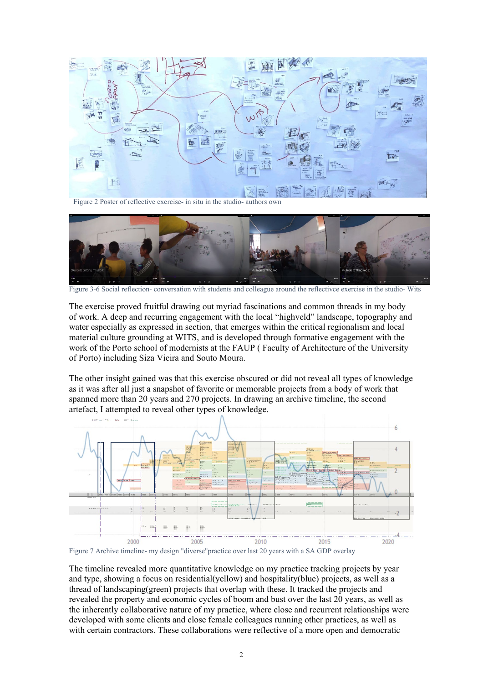

Figure 2 Poster of reflective exercise- in situ in the studio- authors own



Figure 3-6 Social reflection- conversation with students and colleague around the reflectivce exercise in the studio- Wits

The exercise proved fruitful drawing out myriad fascinations and common threads in my body of work. A deep and recurring engagement with the local "highveld" landscape, topography and water especially as expressed in section, that emerges within the critical regionalism and local material culture grounding at WITS, and is developed through formative engagement with the work of the Porto school of modernists at the FAUP ( Faculty of Architecture of the University of Porto) including Siza Vieira and Souto Moura.

The other insight gained was that this exercise obscured or did not reveal all types of knowledge as it was after all just a snapshot of favorite or memorable projects from a body of work that spanned more than 20 years and 270 projects. In drawing an archive timeline, the second artefact, I attempted to reveal other types of knowledge.



Figure 7 Archive timeline- my design "diverse"practice over last 20 years with a SA GDP overlay

The timeline revealed more quantitative knowledge on my practice tracking projects by year and type, showing a focus on residential(yellow) and hospitality(blue) projects, as well as a thread of landscaping(green) projects that overlap with these. It tracked the projects and revealed the property and economic cycles of boom and bust over the last 20 years, as well as the inherently collaborative nature of my practice, where close and recurrent relationships were developed with some clients and close female colleagues running other practices, as well as with certain contractors. These collaborations were reflective of a more open and democratic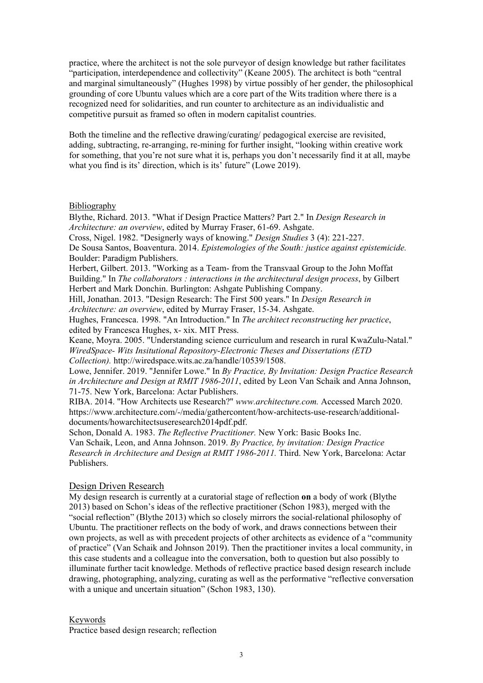practice, where the architect is not the sole purveyor of design knowledge but rather facilitates "participation, interdependence and collectivity" (Keane 2005). The architect is both "central and marginal simultaneously" (Hughes 1998) by virtue possibly of her gender, the philosophical grounding of core Ubuntu values which are a core part of the Wits tradition where there is a recognized need for solidarities, and run counter to architecture as an individualistic and competitive pursuit as framed so often in modern capitalist countries.

Both the timeline and the reflective drawing/curating/ pedagogical exercise are revisited, adding, subtracting, re-arranging, re-mining for further insight, "looking within creative work for something, that you're not sure what it is, perhaps you don't necessarily find it at all, maybe what you find is its' direction, which is its' future" (Lowe 2019).

## Bibliography

Blythe, Richard. 2013. "What if Design Practice Matters? Part 2." In *Design Research in Architecture: an overview*, edited by Murray Fraser, 61-69. Ashgate.

Cross, Nigel. 1982. "Designerly ways of knowing." *Design Studies* 3 (4): 221-227.

De Sousa Santos, Boaventura. 2014. *Epistemologies of the South: justice against epistemicide.* Boulder: Paradigm Publishers.

Herbert, Gilbert. 2013. "Working as a Team- from the Transvaal Group to the John Moffat Building." In *The collaborators : interactions in the architectural design process*, by Gilbert Herbert and Mark Donchin. Burlington: Ashgate Publishing Company.

Hill, Jonathan. 2013. "Design Research: The First 500 years." In *Design Research in Architecture: an overview*, edited by Murray Fraser, 15-34. Ashgate.

Hughes, Francesca. 1998. "An Introduction." In *The architect reconstructing her practice*, edited by Francesca Hughes, x- xix. MIT Press.

Keane, Moyra. 2005. "Understanding science curriculum and research in rural KwaZulu-Natal." *WiredSpace- Wits Insitutional Repository-Electronic Theses and Dissertations (ETD Collection).* http://wiredspace.wits.ac.za/handle/10539/1508.

Lowe, Jennifer. 2019. "Jennifer Lowe." In *By Practice, By Invitation: Design Practice Research in Architecture and Design at RMIT 1986-2011*, edited by Leon Van Schaik and Anna Johnson, 71-75. New York, Barcelona: Actar Publishers.

RIBA. 2014. "How Architects use Research?" *www.architecture.com.* Accessed March 2020. https://www.architecture.com/-/media/gathercontent/how-architects-use-research/additionaldocuments/howarchitectsuseresearch2014pdf.pdf.

Schon, Donald A. 1983. *The Reflective Practitioner.* New York: Basic Books Inc. Van Schaik, Leon, and Anna Johnson. 2019. *By Practice, by invitation: Design Practice Research in Architecture and Design at RMIT 1986-2011.* Third. New York, Barcelona: Actar Publishers.

## Design Driven Research

My design research is currently at a curatorial stage of reflection **on** a body of work (Blythe 2013) based on Schon's ideas of the reflective practitioner (Schon 1983), merged with the "social reflection" (Blythe 2013) which so closely mirrors the social-relational philosophy of Ubuntu. The practitioner reflects on the body of work, and draws connections between their own projects, as well as with precedent projects of other architects as evidence of a "community of practice" (Van Schaik and Johnson 2019). Then the practitioner invites a local community, in this case students and a colleague into the conversation, both to question but also possibly to illuminate further tacit knowledge. Methods of reflective practice based design research include drawing, photographing, analyzing, curating as well as the performative "reflective conversation with a unique and uncertain situation" (Schon 1983, 130).

Keywords

Practice based design research; reflection